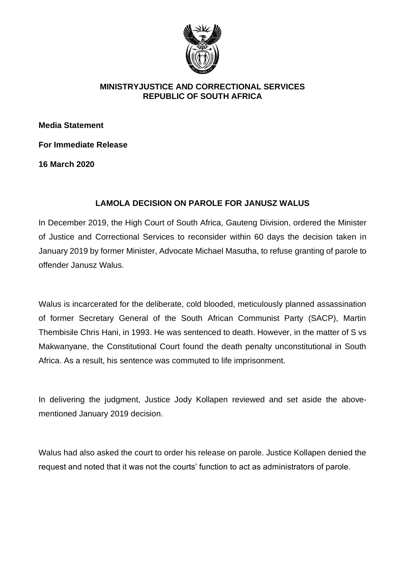

#### **MINISTRYJUSTICE AND CORRECTIONAL SERVICES REPUBLIC OF SOUTH AFRICA**

**Media Statement** 

**For Immediate Release**

**16 March 2020**

## **LAMOLA DECISION ON PAROLE FOR JANUSZ WALUS**

In December 2019, the High Court of South Africa, Gauteng Division, ordered the Minister of Justice and Correctional Services to reconsider within 60 days the decision taken in January 2019 by former Minister, Advocate Michael Masutha, to refuse granting of parole to offender Janusz Walus.

Walus is incarcerated for the deliberate, cold blooded, meticulously planned assassination of former Secretary General of the South African Communist Party (SACP), Martin Thembisile Chris Hani, in 1993. He was sentenced to death. However, in the matter of S vs Makwanyane, the Constitutional Court found the death penalty unconstitutional in South Africa. As a result, his sentence was commuted to life imprisonment.

In delivering the judgment, Justice Jody Kollapen reviewed and set aside the abovementioned January 2019 decision.

Walus had also asked the court to order his release on parole. Justice Kollapen denied the request and noted that it was not the courts' function to act as administrators of parole.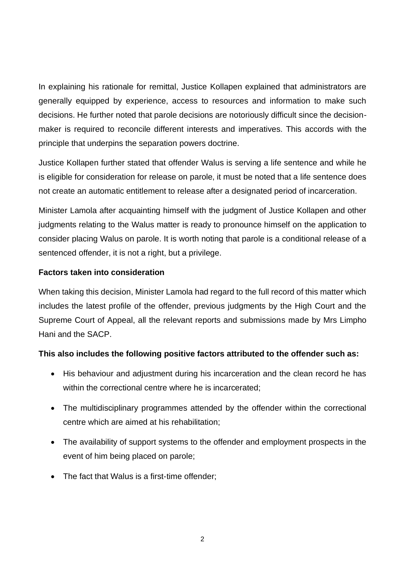In explaining his rationale for remittal, Justice Kollapen explained that administrators are generally equipped by experience, access to resources and information to make such decisions. He further noted that parole decisions are notoriously difficult since the decisionmaker is required to reconcile different interests and imperatives. This accords with the principle that underpins the separation powers doctrine.

Justice Kollapen further stated that offender Walus is serving a life sentence and while he is eligible for consideration for release on parole, it must be noted that a life sentence does not create an automatic entitlement to release after a designated period of incarceration.

Minister Lamola after acquainting himself with the judgment of Justice Kollapen and other judgments relating to the Walus matter is ready to pronounce himself on the application to consider placing Walus on parole. It is worth noting that parole is a conditional release of a sentenced offender, it is not a right, but a privilege.

## **Factors taken into consideration**

When taking this decision, Minister Lamola had regard to the full record of this matter which includes the latest profile of the offender, previous judgments by the High Court and the Supreme Court of Appeal, all the relevant reports and submissions made by Mrs Limpho Hani and the SACP.

# **This also includes the following positive factors attributed to the offender such as:**

- His behaviour and adjustment during his incarceration and the clean record he has within the correctional centre where he is incarcerated;
- The multidisciplinary programmes attended by the offender within the correctional centre which are aimed at his rehabilitation;
- The availability of support systems to the offender and employment prospects in the event of him being placed on parole;
- The fact that Walus is a first-time offender;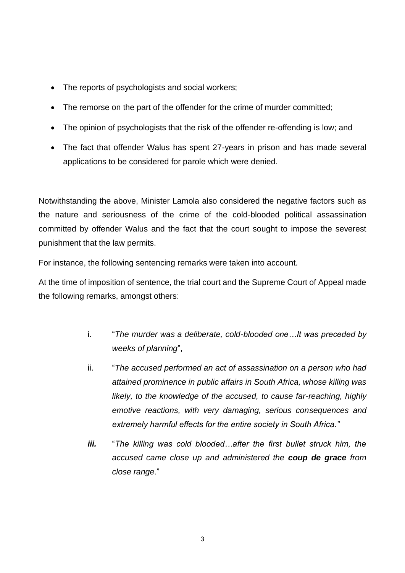- The reports of psychologists and social workers;
- The remorse on the part of the offender for the crime of murder committed;
- The opinion of psychologists that the risk of the offender re-offending is low; and
- The fact that offender Walus has spent 27-years in prison and has made several applications to be considered for parole which were denied.

Notwithstanding the above, Minister Lamola also considered the negative factors such as the nature and seriousness of the crime of the cold-blooded political assassination committed by offender Walus and the fact that the court sought to impose the severest punishment that the law permits.

For instance, the following sentencing remarks were taken into account.

At the time of imposition of sentence, the trial court and the Supreme Court of Appeal made the following remarks, amongst others:

- i. "*The murder was a deliberate, cold-blooded one…It was preceded by weeks of planning*",
- ii. "*The accused performed an act of assassination on a person who had attained prominence in public affairs in South Africa, whose killing was likely, to the knowledge of the accused, to cause far-reaching, highly emotive reactions, with very damaging, serious consequences and extremely harmful effects for the entire society in South Africa."*
- *iii.* "*The killing was cold blooded…after the first bullet struck him, the accused came close up and administered the coup de grace from close range*."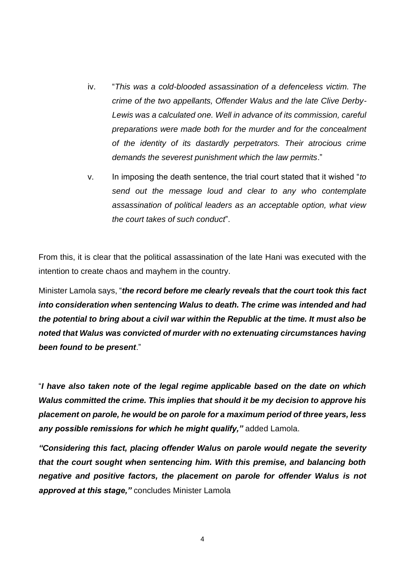- iv. "*This was a cold-blooded assassination of a defenceless victim. The crime of the two appellants, Offender Walus and the late Clive Derby-Lewis was a calculated one. Well in advance of its commission, careful preparations were made both for the murder and for the concealment of the identity of its dastardly perpetrators. Their atrocious crime demands the severest punishment which the law permits*."
- v. In imposing the death sentence, the trial court stated that it wished "*to send out the message loud and clear to any who contemplate assassination of political leaders as an acceptable option, what view the court takes of such conduct*".

From this, it is clear that the political assassination of the late Hani was executed with the intention to create chaos and mayhem in the country.

Minister Lamola says, "*the record before me clearly reveals that the court took this fact into consideration when sentencing Walus to death. The crime was intended and had the potential to bring about a civil war within the Republic at the time. It must also be noted that Walus was convicted of murder with no extenuating circumstances having been found to be present*."

"*I have also taken note of the legal regime applicable based on the date on which Walus committed the crime. This implies that should it be my decision to approve his placement on parole, he would be on parole for a maximum period of three years, less any possible remissions for which he might qualify,"* added Lamola.

*"Considering this fact, placing offender Walus on parole would negate the severity that the court sought when sentencing him. With this premise, and balancing both negative and positive factors, the placement on parole for offender Walus is not approved at this stage,"* concludes Minister Lamola